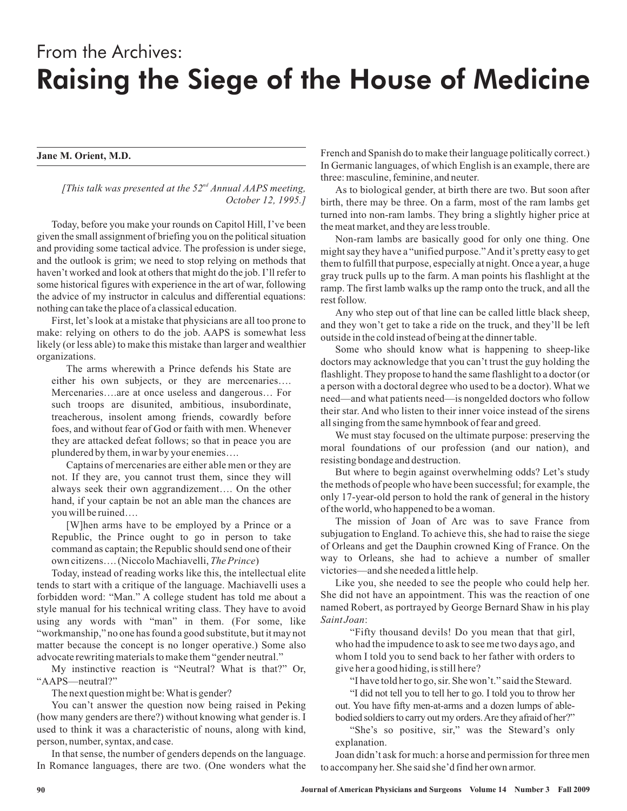## From the Archives: Raising the Siege of the House of Medicine

## **Jane M. Orient, M.D.**

[This talk was presented at the 52<sup>nd</sup> Annual AAPS meeting, *October 12, 1995.]*

Today, before you make your rounds on Capitol Hill, I've been given the small assignment of briefing you on the political situation and providing some tactical advice. The profession is under siege, and the outlook is grim; we need to stop relying on methods that haven't worked and look at others that might do the job. I'll refer to some historical figures with experience in the art of war, following the advice of my instructor in calculus and differential equations: nothing can take the place of a classical education.

First, let's look at a mistake that physicians are all too prone to make: relying on others to do the job. AAPS is somewhat less likely (or less able) to make this mistake than larger and wealthier organizations.

The arms wherewith a Prince defends his State are either his own subjects, or they are mercenaries…. Mercenaries….are at once useless and dangerous… For such troops are disunited, ambitious, insubordinate, treacherous, insolent among friends, cowardly before foes, and without fear of God or faith with men. Whenever they are attacked defeat follows; so that in peace you are plundered by them, in war by your enemies….

Captains of mercenaries are either able men or they are not. If they are, you cannot trust them, since they will always seek their own aggrandizement…. On the other hand, if your captain be not an able man the chances are you will be ruined….

own citizens.... (Niccolo Machiavelli, The Prince) [W]hen arms have to be employed by a Prince or a Republic, the Prince ought to go in person to take command as captain; the Republic should send one of their

Today, instead of reading works like this, the intellectual elite tends to start with a critique of the language. Machiavelli uses a forbidden word: "Man." A college student has told me about a style manual for his technical writing class. They have to avoid using any words with "man" in them. (For some, like "workmanship," no one has found a good substitute, but it may not matter because the concept is no longer operative.) Some also advocate rewriting materials to make them "gender neutral."

My instinctive reaction is "Neutral? What is that?" Or, "AAPS—neutral?"

The next question might be:What is gender?

You can't answer the question now being raised in Peking (how many genders are there?) without knowing what gender is. I used to think it was a characteristic of nouns, along with kind, person, number, syntax, and case.

In that sense, the number of genders depends on the language. In Romance languages, there are two. (One wonders what the French and Spanish do to make their language politically correct.) In Germanic languages, of which English is an example, there are three: masculine, feminine, and neuter.

As to biological gender, at birth there are two. But soon after birth, there may be three. On a farm, most of the ram lambs get turned into non-ram lambs. They bring a slightly higher price at the meat market, and they are less trouble.

Non-ram lambs are basically good for only one thing. One might say they have a "unified purpose."And it's pretty easy to get them to fulfill that purpose, especially at night. Once a year, a huge gray truck pulls up to the farm. A man points his flashlight at the ramp. The first lamb walks up the ramp onto the truck, and all the rest follow.

Any who step out of that line can be called little black sheep, and they won't get to take a ride on the truck, and they'll be left outside in the cold instead of being at the dinner table.

Some who should know what is happening to sheep-like doctors may acknowledge that you can't trust the guy holding the flashlight. They propose to hand the same flashlight to a doctor (or a person with a doctoral degree who used to be a doctor). What we need—and what patients need—is nongelded doctors who follow their star. And who listen to their inner voice instead of the sirens all singing from the same hymnbook of fear and greed.

We must stay focused on the ultimate purpose: preserving the moral foundations of our profession (and our nation), and resisting bondage and destruction.

But where to begin against overwhelming odds? Let's study the methods of people who have been successful; for example, the only 17-year-old person to hold the rank of general in the history of the world, who happened to be a woman.

The mission of Joan of Arc was to save France from subjugation to England. To achieve this, she had to raise the siege of Orleans and get the Dauphin crowned King of France. On the way to Orleans, she had to achieve a number of smaller victories—and she needed a little help.

Like you, she needed to see the people who could help her. She did not have an appointment. This was the reaction of one named Robert, as portrayed by George Bernard Shaw in his play : *Saint Joan*

"Fifty thousand devils! Do you mean that that girl, who had the impudence to ask to see me two days ago, and whom I told you to send back to her father with orders to give her a good hiding, is stillhere?

"I have told her to go, sir. She won't." said the Steward.

"I did not tell you to tell her to go. I told you to throw her out. You have fifty men-at-arms and a dozen lumps of ablebodied soldiers to carry out my orders.Are they afraid of her?"

"She's so positive, sir," was the Steward's only explanation.

Joan didn't ask for much: a horse and permission for three men to accompany her. She said she'd find her own armor.